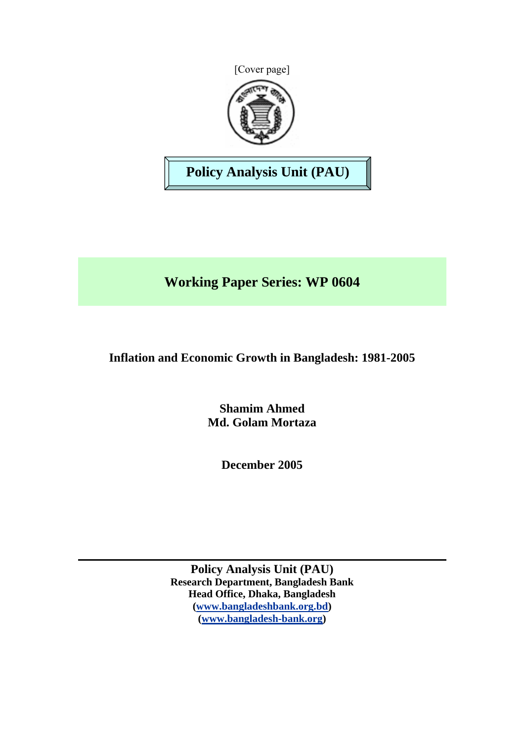



**Policy Analysis Unit (PAU)** 

# **Working Paper Series: WP 0604**

## **Inflation and Economic Growth in Bangladesh: 1981-2005**

**Shamim Ahmed Md. Golam Mortaza** 

**December 2005** 

**Policy Analysis Unit (PAU) Research Department, Bangladesh Bank Head Office, Dhaka, Bangladesh ([www.bangladeshbank.org.bd](http://www.bangladeshbank.org.bd/)) ([www.bangladesh-bank.org](http://www.bangladesh-bank.org/))**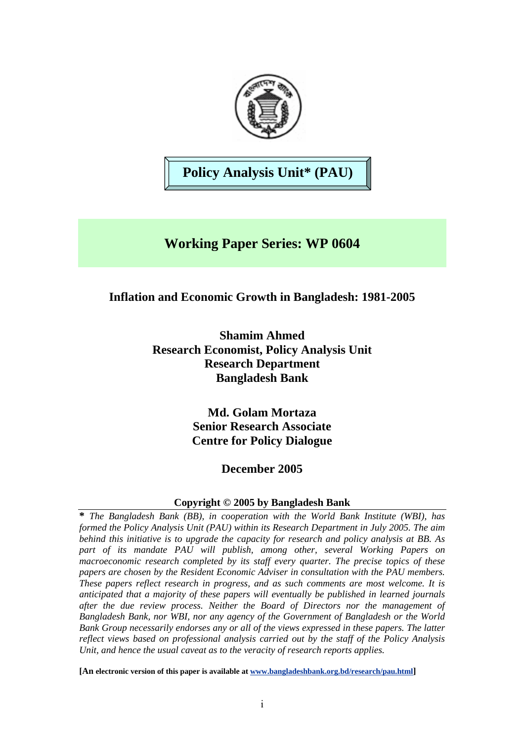

# **Policy Analysis Unit\* (PAU)**

## **Working Paper Series: WP 0604**

## **Inflation and Economic Growth in Bangladesh: 1981-2005**

**Shamim Ahmed Research Economist, Policy Analysis Unit Research Department Bangladesh Bank** 

> **Md. Golam Mortaza Senior Research Associate Centre for Policy Dialogue**

## **December 2005**

## **Copyright © 2005 by Bangladesh Bank**

**\*** *The Bangladesh Bank (BB), in cooperation with the World Bank Institute (WBI), has formed the Policy Analysis Unit (PAU) within its Research Department in July 2005. The aim behind this initiative is to upgrade the capacity for research and policy analysis at BB. As part of its mandate PAU will publish, among other, several Working Papers on macroeconomic research completed by its staff every quarter. The precise topics of these papers are chosen by the Resident Economic Adviser in consultation with the PAU members. These papers reflect research in progress, and as such comments are most welcome. It is anticipated that a majority of these papers will eventually be published in learned journals after the due review process. Neither the Board of Directors nor the management of Bangladesh Bank, nor WBI, nor any agency of the Government of Bangladesh or the World Bank Group necessarily endorses any or all of the views expressed in these papers. The latter reflect views based on professional analysis carried out by the staff of the Policy Analysis Unit, and hence the usual caveat as to the veracity of research reports applies.*

**[An electronic version of this paper is available at [www.bangladeshbank.org.bd/research/pau.html](http://www.bangladeshbank.org.bd/research/pau.html)]**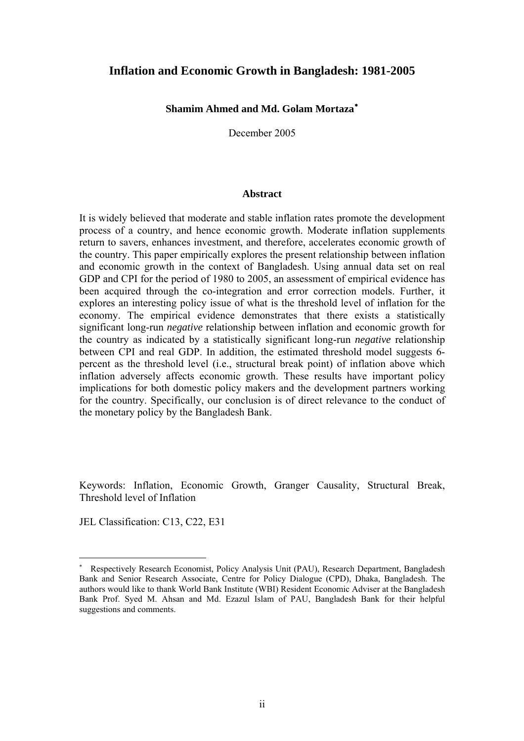## **Inflation and Economic Growth in Bangladesh: 1981-2005**

#### **Shamim Ahmed and Md. Golam Mortaza**[∗](#page-2-0)

December 2005

#### **Abstract**

It is widely believed that moderate and stable inflation rates promote the development process of a country, and hence economic growth. Moderate inflation supplements return to savers, enhances investment, and therefore, accelerates economic growth of the country. This paper empirically explores the present relationship between inflation and economic growth in the context of Bangladesh. Using annual data set on real GDP and CPI for the period of 1980 to 2005, an assessment of empirical evidence has been acquired through the co-integration and error correction models. Further, it explores an interesting policy issue of what is the threshold level of inflation for the economy. The empirical evidence demonstrates that there exists a statistically significant long-run *negative* relationship between inflation and economic growth for the country as indicated by a statistically significant long-run *negative* relationship between CPI and real GDP. In addition, the estimated threshold model suggests 6 percent as the threshold level (i.e., structural break point) of inflation above which inflation adversely affects economic growth. These results have important policy implications for both domestic policy makers and the development partners working for the country. Specifically, our conclusion is of direct relevance to the conduct of the monetary policy by the Bangladesh Bank.

Keywords: Inflation, Economic Growth, Granger Causality, Structural Break, Threshold level of Inflation

JEL Classification: C13, C22, E31

 $\overline{a}$ 

<span id="page-2-0"></span><sup>∗</sup> Respectively Research Economist, Policy Analysis Unit (PAU), Research Department, Bangladesh Bank and Senior Research Associate, Centre for Policy Dialogue (CPD), Dhaka, Bangladesh. The authors would like to thank World Bank Institute (WBI) Resident Economic Adviser at the Bangladesh Bank Prof. Syed M. Ahsan and Md. Ezazul Islam of PAU, Bangladesh Bank for their helpful suggestions and comments.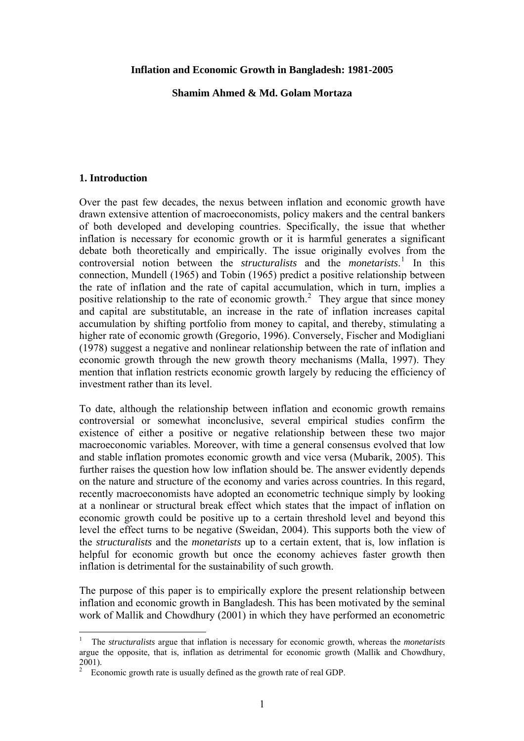#### **Inflation and Economic Growth in Bangladesh: 1981-2005**

**Shamim Ahmed & Md. Golam Mortaza** 

### **1. Introduction**

 $\overline{a}$ 

Over the past few decades, the nexus between inflation and economic growth have drawn extensive attention of macroeconomists, policy makers and the central bankers of both developed and developing countries. Specifically, the issue that whether inflation is necessary for economic growth or it is harmful generates a significant debate both theoretically and empirically. The issue originally evolves from the controversial notion between the *structuralists* and the *monetarists*. [1](#page-3-0) In this connection, Mundell (1965) and Tobin (1965) predict a positive relationship between the rate of inflation and the rate of capital accumulation, which in turn, implies a positive relationship to the rate of economic growth.<sup>[2](#page-3-1)</sup> They argue that since money and capital are substitutable, an increase in the rate of inflation increases capital accumulation by shifting portfolio from money to capital, and thereby, stimulating a higher rate of economic growth (Gregorio, 1996). Conversely, Fischer and Modigliani (1978) suggest a negative and nonlinear relationship between the rate of inflation and economic growth through the new growth theory mechanisms (Malla, 1997). They mention that inflation restricts economic growth largely by reducing the efficiency of investment rather than its level.

To date, although the relationship between inflation and economic growth remains controversial or somewhat inconclusive, several empirical studies confirm the existence of either a positive or negative relationship between these two major macroeconomic variables. Moreover, with time a general consensus evolved that low and stable inflation promotes economic growth and vice versa (Mubarik, 2005). This further raises the question how low inflation should be. The answer evidently depends on the nature and structure of the economy and varies across countries. In this regard, recently macroeconomists have adopted an econometric technique simply by looking at a nonlinear or structural break effect which states that the impact of inflation on economic growth could be positive up to a certain threshold level and beyond this level the effect turns to be negative (Sweidan, 2004). This supports both the view of the *structuralists* and the *monetarists* up to a certain extent, that is, low inflation is helpful for economic growth but once the economy achieves faster growth then inflation is detrimental for the sustainability of such growth.

The purpose of this paper is to empirically explore the present relationship between inflation and economic growth in Bangladesh. This has been motivated by the seminal work of Mallik and Chowdhury (2001) in which they have performed an econometric

<span id="page-3-0"></span><sup>1</sup> The *structuralists* argue that inflation is necessary for economic growth, whereas the *monetarists* argue the opposite, that is, inflation as detrimental for economic growth (Mallik and Chowdhury,  $_{2}^{2001}$ ).

<span id="page-3-1"></span>Economic growth rate is usually defined as the growth rate of real GDP.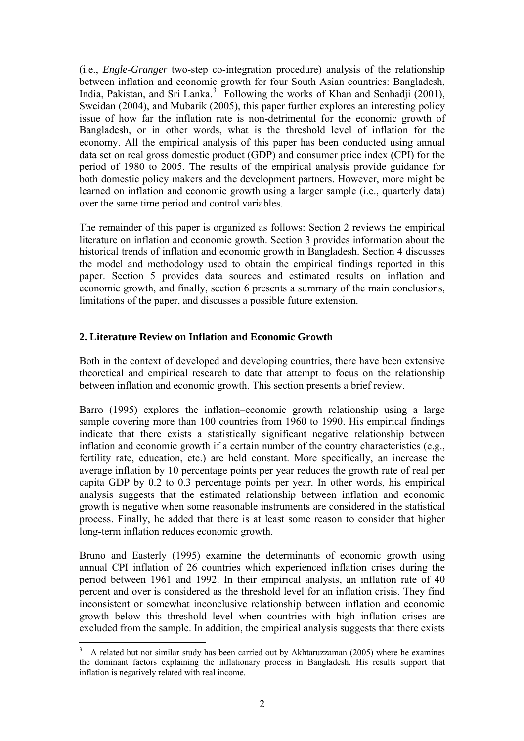(i.e., *Engle-Granger* two-step co-integration procedure) analysis of the relationship between inflation and economic growth for four South Asian countries: Bangladesh, India, Pakistan, and Sri Lanka.<sup>[3](#page-4-0)</sup> Following the works of Khan and Senhadji (2001), Sweidan (2004), and Mubarik (2005), this paper further explores an interesting policy issue of how far the inflation rate is non-detrimental for the economic growth of Bangladesh, or in other words, what is the threshold level of inflation for the economy. All the empirical analysis of this paper has been conducted using annual data set on real gross domestic product (GDP) and consumer price index (CPI) for the period of 1980 to 2005. The results of the empirical analysis provide guidance for both domestic policy makers and the development partners. However, more might be learned on inflation and economic growth using a larger sample (i.e., quarterly data) over the same time period and control variables.

The remainder of this paper is organized as follows: Section 2 reviews the empirical literature on inflation and economic growth. Section 3 provides information about the historical trends of inflation and economic growth in Bangladesh. Section 4 discusses the model and methodology used to obtain the empirical findings reported in this paper. Section 5 provides data sources and estimated results on inflation and economic growth, and finally, section 6 presents a summary of the main conclusions, limitations of the paper, and discusses a possible future extension.

### **2. Literature Review on Inflation and Economic Growth**

Both in the context of developed and developing countries, there have been extensive theoretical and empirical research to date that attempt to focus on the relationship between inflation and economic growth. This section presents a brief review.

Barro (1995) explores the inflation–economic growth relationship using a large sample covering more than 100 countries from 1960 to 1990. His empirical findings indicate that there exists a statistically significant negative relationship between inflation and economic growth if a certain number of the country characteristics (e.g., fertility rate, education, etc.) are held constant. More specifically, an increase the average inflation by 10 percentage points per year reduces the growth rate of real per capita GDP by 0.2 to 0.3 percentage points per year. In other words, his empirical analysis suggests that the estimated relationship between inflation and economic growth is negative when some reasonable instruments are considered in the statistical process. Finally, he added that there is at least some reason to consider that higher long-term inflation reduces economic growth.

Bruno and Easterly (1995) examine the determinants of economic growth using annual CPI inflation of 26 countries which experienced inflation crises during the period between 1961 and 1992. In their empirical analysis, an inflation rate of 40 percent and over is considered as the threshold level for an inflation crisis. They find inconsistent or somewhat inconclusive relationship between inflation and economic growth below this threshold level when countries with high inflation crises are excluded from the sample. In addition, the empirical analysis suggests that there exists

 $\overline{a}$ 

<span id="page-4-0"></span><sup>3</sup> A related but not similar study has been carried out by Akhtaruzzaman (2005) where he examines the dominant factors explaining the inflationary process in Bangladesh. His results support that inflation is negatively related with real income.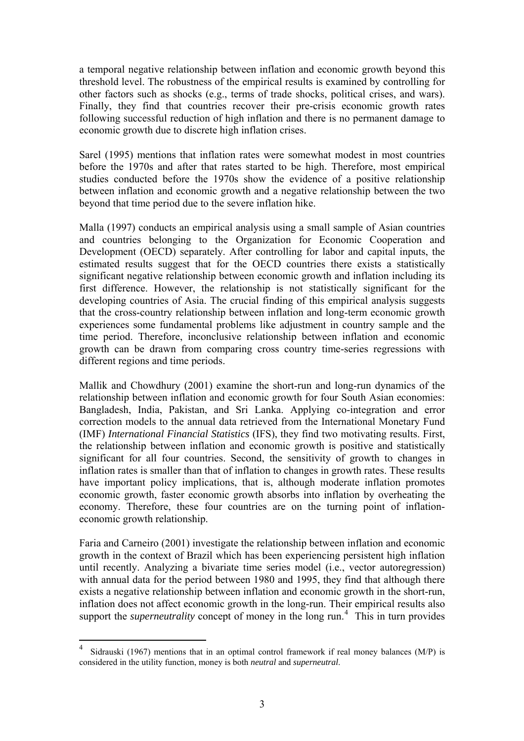a temporal negative relationship between inflation and economic growth beyond this threshold level. The robustness of the empirical results is examined by controlling for other factors such as shocks (e.g., terms of trade shocks, political crises, and wars). Finally, they find that countries recover their pre-crisis economic growth rates following successful reduction of high inflation and there is no permanent damage to economic growth due to discrete high inflation crises.

Sarel (1995) mentions that inflation rates were somewhat modest in most countries before the 1970s and after that rates started to be high. Therefore, most empirical studies conducted before the 1970s show the evidence of a positive relationship between inflation and economic growth and a negative relationship between the two beyond that time period due to the severe inflation hike.

Malla (1997) conducts an empirical analysis using a small sample of Asian countries and countries belonging to the Organization for Economic Cooperation and Development (OECD) separately. After controlling for labor and capital inputs, the estimated results suggest that for the OECD countries there exists a statistically significant negative relationship between economic growth and inflation including its first difference. However, the relationship is not statistically significant for the developing countries of Asia. The crucial finding of this empirical analysis suggests that the cross-country relationship between inflation and long-term economic growth experiences some fundamental problems like adjustment in country sample and the time period. Therefore, inconclusive relationship between inflation and economic growth can be drawn from comparing cross country time-series regressions with different regions and time periods.

Mallik and Chowdhury (2001) examine the short-run and long-run dynamics of the relationship between inflation and economic growth for four South Asian economies: Bangladesh, India, Pakistan, and Sri Lanka. Applying co-integration and error correction models to the annual data retrieved from the International Monetary Fund (IMF) *International Financial Statistics* (IFS), they find two motivating results. First, the relationship between inflation and economic growth is positive and statistically significant for all four countries. Second, the sensitivity of growth to changes in inflation rates is smaller than that of inflation to changes in growth rates. These results have important policy implications, that is, although moderate inflation promotes economic growth, faster economic growth absorbs into inflation by overheating the economy. Therefore, these four countries are on the turning point of inflationeconomic growth relationship.

Faria and Carneiro (2001) investigate the relationship between inflation and economic growth in the context of Brazil which has been experiencing persistent high inflation until recently. Analyzing a bivariate time series model (i.e., vector autoregression) with annual data for the period between 1980 and 1995, they find that although there exists a negative relationship between inflation and economic growth in the short-run, inflation does not affect economic growth in the long-run. Their empirical results also support the *superneutrality* concept of money in the long run.<sup>[4](#page-5-0)</sup> This in turn provides

 $\overline{a}$ 

<span id="page-5-0"></span><sup>4</sup> Sidrauski (1967) mentions that in an optimal control framework if real money balances (M/P) is considered in the utility function, money is both *neutral* and *superneutral*.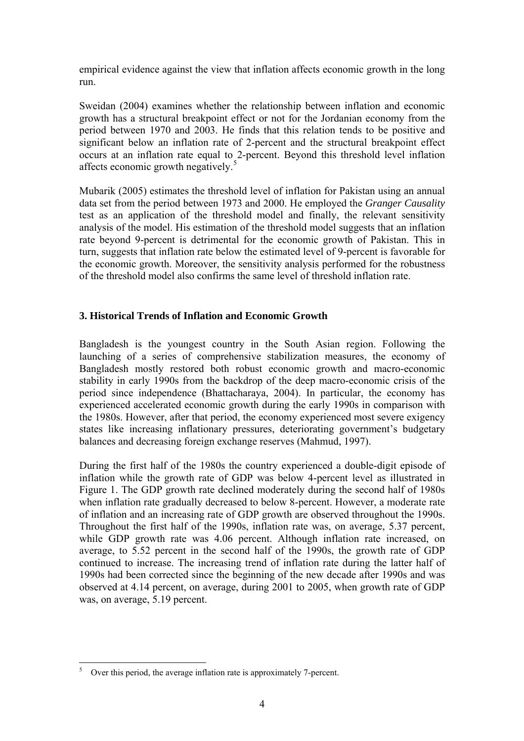empirical evidence against the view that inflation affects economic growth in the long run.

Sweidan (2004) examines whether the relationship between inflation and economic growth has a structural breakpoint effect or not for the Jordanian economy from the period between 1970 and 2003. He finds that this relation tends to be positive and significant below an inflation rate of 2-percent and the structural breakpoint effect occurs at an inflation rate equal to 2-percent. Beyond this threshold level inflation affects economic growth negatively.<sup>[5](#page-6-0)</sup>

Mubarik (2005) estimates the threshold level of inflation for Pakistan using an annual data set from the period between 1973 and 2000. He employed the *Granger Causality*  test as an application of the threshold model and finally, the relevant sensitivity analysis of the model. His estimation of the threshold model suggests that an inflation rate beyond 9-percent is detrimental for the economic growth of Pakistan. This in turn, suggests that inflation rate below the estimated level of 9-percent is favorable for the economic growth. Moreover, the sensitivity analysis performed for the robustness of the threshold model also confirms the same level of threshold inflation rate.

## **3. Historical Trends of Inflation and Economic Growth**

Bangladesh is the youngest country in the South Asian region. Following the launching of a series of comprehensive stabilization measures, the economy of Bangladesh mostly restored both robust economic growth and macro-economic stability in early 1990s from the backdrop of the deep macro-economic crisis of the period since independence (Bhattacharaya, 2004). In particular, the economy has experienced accelerated economic growth during the early 1990s in comparison with the 1980s. However, after that period, the economy experienced most severe exigency states like increasing inflationary pressures, deteriorating government's budgetary balances and decreasing foreign exchange reserves (Mahmud, 1997).

During the first half of the 1980s the country experienced a double-digit episode of inflation while the growth rate of GDP was below 4-percent level as illustrated in Figure 1. The GDP growth rate declined moderately during the second half of 1980s when inflation rate gradually decreased to below 8-percent. However, a moderate rate of inflation and an increasing rate of GDP growth are observed throughout the 1990s. Throughout the first half of the 1990s, inflation rate was, on average, 5.37 percent, while GDP growth rate was 4.06 percent. Although inflation rate increased, on average, to 5.52 percent in the second half of the 1990s, the growth rate of GDP continued to increase. The increasing trend of inflation rate during the latter half of 1990s had been corrected since the beginning of the new decade after 1990s and was observed at 4.14 percent, on average, during 2001 to 2005, when growth rate of GDP was, on average, 5.19 percent.

<span id="page-6-0"></span> 5 Over this period, the average inflation rate is approximately 7-percent.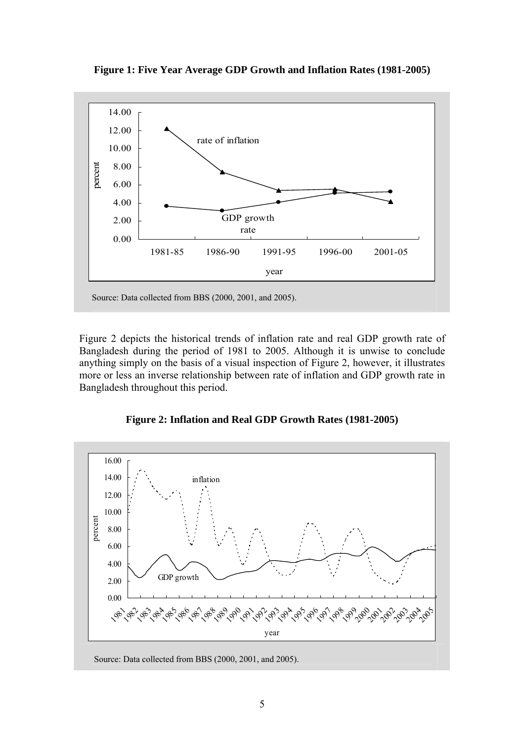

**Figure 1: Five Year Average GDP Growth and Inflation Rates (1981-2005)**

Figure 2 depicts the historical trends of inflation rate and real GDP growth rate of Bangladesh during the period of 1981 to 2005. Although it is unwise to conclude anything simply on the basis of a visual inspection of Figure 2, however, it illustrates more or less an inverse relationship between rate of inflation and GDP growth rate in Bangladesh throughout this period.





Source: Data collected from BBS (2000, 2001, and 2005).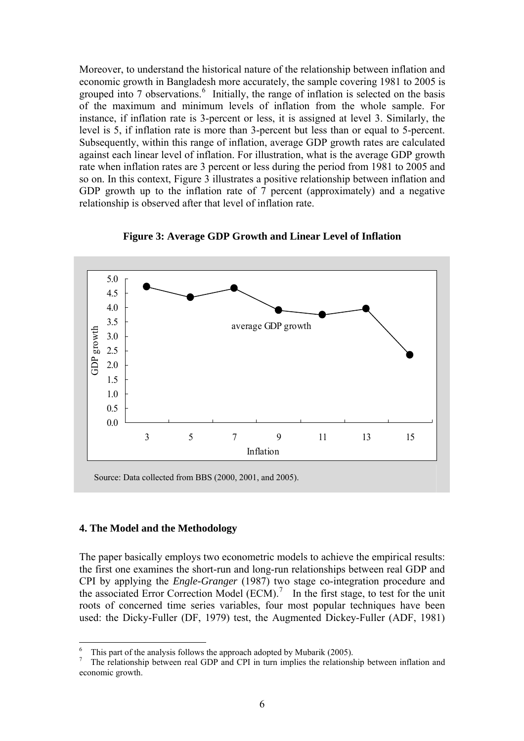Moreover, to understand the historical nature of the relationship between inflation and economic growth in Bangladesh more accurately, the sample covering 1981 to 2005 is grouped into 7 observations.<sup>[6](#page-8-0)</sup> Initially, the range of inflation is selected on the basis of the maximum and minimum levels of inflation from the whole sample. For instance, if inflation rate is 3-percent or less, it is assigned at level 3. Similarly, the level is 5, if inflation rate is more than 3-percent but less than or equal to 5-percent. Subsequently, within this range of inflation, average GDP growth rates are calculated against each linear level of inflation. For illustration, what is the average GDP growth rate when inflation rates are 3 percent or less during the period from 1981 to 2005 and so on. In this context, Figure 3 illustrates a positive relationship between inflation and GDP growth up to the inflation rate of 7 percent (approximately) and a negative relationship is observed after that level of inflation rate.



**Figure 3: Average GDP Growth and Linear Level of Inflation** 

#### **4. The Model and the Methodology**

 $\overline{a}$ 

The paper basically employs two econometric models to achieve the empirical results: the first one examines the short-run and long-run relationships between real GDP and CPI by applying the *Engle-Granger* (1987) two stage co-integration procedure and the associated Error Correction Model  $(ECM)$ .<sup>[7](#page-8-1)</sup> In the first stage, to test for the unit roots of concerned time series variables, four most popular techniques have been used: the Dicky-Fuller (DF, 1979) test, the Augmented Dickey-Fuller (ADF, 1981)

<sup>6</sup> This part of the analysis follows the approach adopted by Mubarik (2005).

<span id="page-8-1"></span><span id="page-8-0"></span><sup>7</sup> The relationship between real GDP and CPI in turn implies the relationship between inflation and economic growth.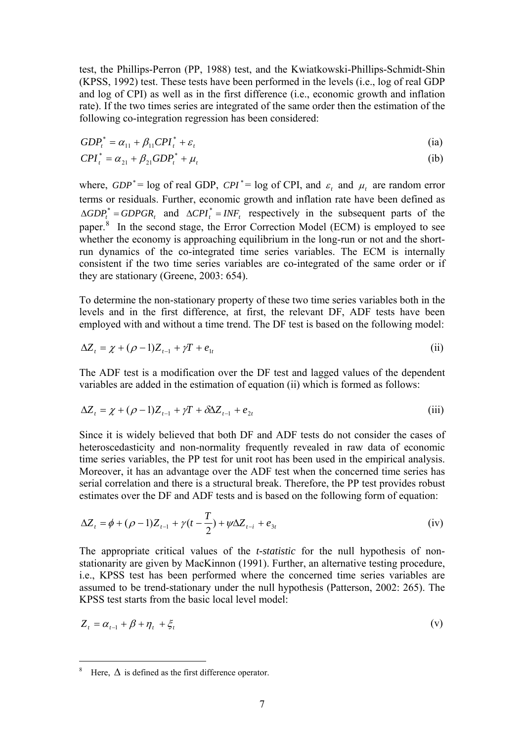test, the Phillips-Perron (PP, 1988) test, and the Kwiatkowski-Phillips-Schmidt-Shin (KPSS, 1992) test. These tests have been performed in the levels (i.e., log of real GDP and log of CPI) as well as in the first difference (i.e., economic growth and inflation rate). If the two times series are integrated of the same order then the estimation of the following co-integration regression has been considered:

$$
GDP_t^* = \alpha_{11} + \beta_{11} CPI_t^* + \varepsilon_t \tag{ia}
$$

$$
CPI_t^* = \alpha_{21} + \beta_{21} GDP_t^* + \mu_t \tag{ib}
$$

where,  $GDP^* = \log$  of real GDP,  $CPI^* = \log$  of CPI, and  $\varepsilon_t$  and  $\mu_t$  are random error terms or residuals. Further, economic growth and inflation rate have been defined as  $\triangle GDP_t^* = GDPGR_t$  and  $\triangle CPI_t^* = INF_t$  respectively in the subsequent parts of the paper.<sup>[8](#page-9-0)</sup> In the second stage, the Error Correction Model (ECM) is employed to see whether the economy is approaching equilibrium in the long-run or not and the shortrun dynamics of the co-integrated time series variables. The ECM is internally consistent if the two time series variables are co-integrated of the same order or if they are stationary (Greene, 2003: 654).

To determine the non-stationary property of these two time series variables both in the levels and in the first difference, at first, the relevant DF, ADF tests have been employed with and without a time trend. The DF test is based on the following model:

$$
\Delta Z_{t} = \chi + (\rho - 1)Z_{t-1} + \gamma T + e_{1t}
$$
 (ii)

The ADF test is a modification over the DF test and lagged values of the dependent variables are added in the estimation of equation (ii) which is formed as follows:

$$
\Delta Z_t = \chi + (\rho - 1)Z_{t-1} + \gamma T + \delta \Delta Z_{t-1} + e_{2t} \tag{iii}
$$

Since it is widely believed that both DF and ADF tests do not consider the cases of heteroscedasticity and non-normality frequently revealed in raw data of economic time series variables, the PP test for unit root has been used in the empirical analysis. Moreover, it has an advantage over the ADF test when the concerned time series has serial correlation and there is a structural break. Therefore, the PP test provides robust estimates over the DF and ADF tests and is based on the following form of equation:

$$
\Delta Z_{t} = \phi + (\rho - 1)Z_{t-1} + \gamma(t - \frac{T}{2}) + \psi \Delta Z_{t-i} + e_{3t}
$$
 (iv)

The appropriate critical values of the *t-statistic* for the null hypothesis of nonstationarity are given by MacKinnon (1991). Further, an alternative testing procedure, i.e., KPSS test has been performed where the concerned time series variables are assumed to be trend-stationary under the null hypothesis (Patterson, 2002: 265). The KPSS test starts from the basic local level model:

$$
Z_t = \alpha_{t-1} + \beta + \eta_t + \xi_t \tag{v}
$$

 $\overline{a}$ 

<span id="page-9-0"></span><sup>8</sup> Here,  $\Delta$  is defined as the first difference operator.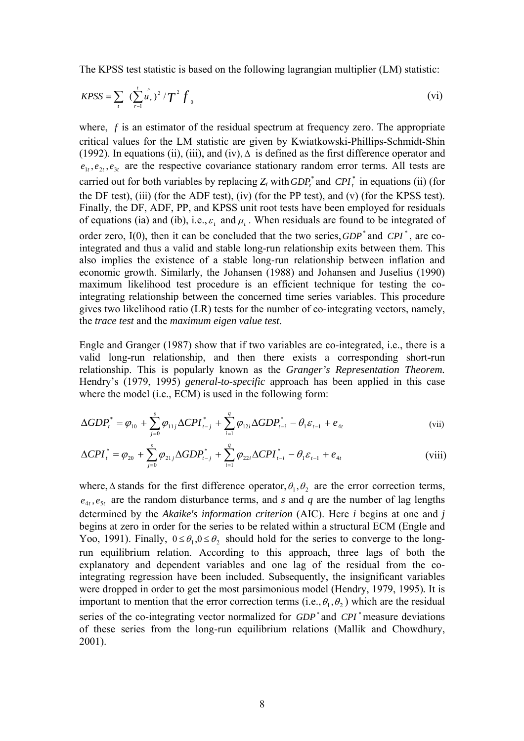The KPSS test statistic is based on the following lagrangian multiplier (LM) statistic:

$$
KPSS = \sum_{r} \left( \sum_{r=1}^{t} \hat{u}_r \right)^2 / T^2 f_0
$$
 (vi)

where,  $f$  is an estimator of the residual spectrum at frequency zero. The appropriate critical values for the LM statistic are given by Kwiatkowski-Phillips-Schmidt-Shin (1992). In equations (ii), (iii), and (iv),  $\Delta$  is defined as the first difference operator and  $e_1, e_2, e_3, e_4$  are the respective covariance stationary random error terms. All tests are carried out for both variables by replacing  $Z_t$  with  $GDP_t^*$  and  $CPI_t^*$  in equations (ii) (for the DF test), (iii) (for the ADF test), (iv) (for the PP test), and (v) (for the KPSS test). Finally, the DF, ADF, PP, and KPSS unit root tests have been employed for residuals of equations (ia) and (ib), i.e.,  $\varepsilon_t$  and  $\mu_t$ . When residuals are found to be integrated of order zero,  $I(0)$ , then it can be concluded that the two series,  $GDP^*$  and  $\overline{CPI}^*$ , are cointegrated and thus a valid and stable long-run relationship exits between them. This also implies the existence of a stable long-run relationship between inflation and economic growth. Similarly, the Johansen (1988) and Johansen and Juselius (1990) maximum likelihood test procedure is an efficient technique for testing the cointegrating relationship between the concerned time series variables. This procedure gives two likelihood ratio (LR) tests for the number of co-integrating vectors, namely, the *trace test* and the *maximum eigen value test*.

Engle and Granger (1987) show that if two variables are co-integrated, i.e., there is a valid long-run relationship, and then there exists a corresponding short-run relationship. This is popularly known as the *Granger's Representation Theorem.* Hendry's (1979, 1995) *general-to-specific* approach has been applied in this case where the model (i.e., ECM) is used in the following form:

$$
\Delta GDP_{t}^{*} = \varphi_{10} + \sum_{j=0}^{s} \varphi_{11j} \Delta CPL_{t-j}^{*} + \sum_{i=1}^{q} \varphi_{12i} \Delta GDP_{t-i}^{*} - \theta_{1} \varepsilon_{t-1} + e_{4t}
$$
 (vii)

$$
\Delta CPI_{t}^{*} = \varphi_{20} + \sum_{j=0}^{s} \varphi_{21j} \Delta GDP_{t-j}^{*} + \sum_{i=1}^{q} \varphi_{22i} \Delta CPI_{t-i}^{*} - \theta_{1} \varepsilon_{t-1} + e_{4t}
$$
 (viii)

where,  $\Delta$  stands for the first difference operator,  $\theta_1, \theta_2$  are the error correction terms,  $e_{4t}$ ,  $e_{5t}$  are the random disturbance terms, and *s* and *q* are the number of lag lengths determined by the *Akaike's information criterion* (AIC). Here *i* begins at one and *j*  begins at zero in order for the series to be related within a structural ECM (Engle and Yoo, 1991). Finally,  $0 \le \theta_1, 0 \le \theta_2$  should hold for the series to converge to the longrun equilibrium relation. According to this approach, three lags of both the explanatory and dependent variables and one lag of the residual from the cointegrating regression have been included. Subsequently, the insignificant variables were dropped in order to get the most parsimonious model (Hendry, 1979, 1995)*.* It is important to mention that the error correction terms (i.e.,  $\theta_1$ ,  $\theta_2$ ) which are the residual series of the co-integrating vector normalized for  $GDP^*$  and  $CPI^*$  measure deviations of these series from the long-run equilibrium relations (Mallik and Chowdhury, 2001).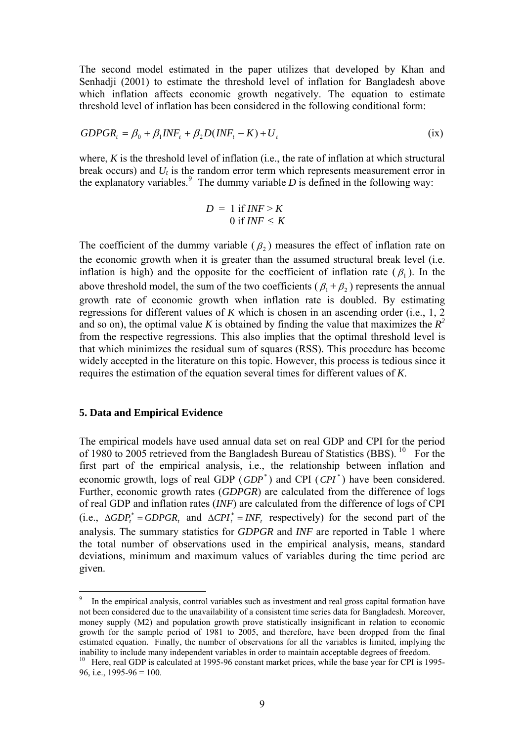The second model estimated in the paper utilizes that developed by Khan and Senhadji (2001) to estimate the threshold level of inflation for Bangladesh above which inflation affects economic growth negatively. The equation to estimate threshold level of inflation has been considered in the following conditional form:

$$
GDPGR_t = \beta_0 + \beta_1 INF_t + \beta_2 D(NF_t - K) + U_t
$$
 (ix)

where, *K* is the threshold level of inflation (i.e., the rate of inflation at which structural break occurs) and *Ut* is the random error term which represents measurement error in the explanatory variables.<sup>[9](#page-11-0)</sup> The dummy variable  $D$  is defined in the following way:

$$
D = 1 \text{ if } INF > K
$$
  
0 if  $INF \le K$ 

The coefficient of the dummy variable ( $\beta$ ) measures the effect of inflation rate on the economic growth when it is greater than the assumed structural break level (i.e. inflation is high) and the opposite for the coefficient of inflation rate ( $\beta$ <sub>1</sub>). In the above threshold model, the sum of the two coefficients ( $\beta_1 + \beta_2$ ) represents the annual growth rate of economic growth when inflation rate is doubled. By estimating regressions for different values of *K* which is chosen in an ascending order (i.e., 1, 2 and so on), the optimal value *K* is obtained by finding the value that maximizes the  $R^2$ from the respective regressions. This also implies that the optimal threshold level is that which minimizes the residual sum of squares (RSS). This procedure has become widely accepted in the literature on this topic. However, this process is tedious since it requires the estimation of the equation several times for different values of *K*.

#### **5. Data and Empirical Evidence**

 $\overline{a}$ 

The empirical models have used annual data set on real GDP and CPI for the period of 1980 to 2005 retrieved from the Bangladesh Bureau of Statistics (BBS). <sup>[10](#page-11-1)</sup> For the first part of the empirical analysis, i.e., the relationship between inflation and economic growth, logs of real GDP ( $GDP^*$ ) and CPI ( $CPI^*$ ) have been considered. Further, economic growth rates (*GDPGR*) are calculated from the difference of logs of real GDP and inflation rates (*INF*) are calculated from the difference of logs of CPI (i.e.,  $\triangle GDP_t^* = GDPGR_t$  and  $\triangle CPI_t^* = INF_t$  respectively) for the second part of the analysis. The summary statistics for *GDPGR* and *INF* are reported in Table 1 where the total number of observations used in the empirical analysis, means, standard deviations, minimum and maximum values of variables during the time period are given.

<span id="page-11-0"></span><sup>9</sup> In the empirical analysis, control variables such as investment and real gross capital formation have not been considered due to the unavailability of a consistent time series data for Bangladesh. Moreover, money supply (M2) and population growth prove statistically insignificant in relation to economic growth for the sample period of 1981 to 2005, and therefore, have been dropped from the final estimated equation. Finally, the number of observations for all the variables is limited, implying the inability to include many independent variables in order to maintain acceptable degrees of freedom.

<span id="page-11-1"></span><sup>&</sup>lt;sup>10</sup> Here, real GDP is calculated at 1995-96 constant market prices, while the base year for CPI is 1995-96, i.e.,  $1995-96 = 100$ .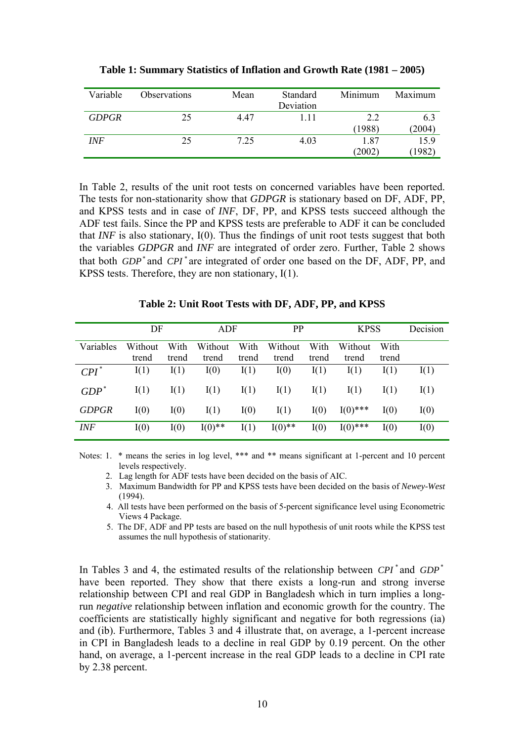| Variable     | <b>Observations</b> | Mean | Standard<br>Deviation | Minimum        | Maximum        |
|--------------|---------------------|------|-----------------------|----------------|----------------|
| <b>GDPGR</b> | 25                  | 447  | 111                   | 2.2<br>(1988)  | 6.3<br>(2004)  |
| INF          | 25                  | 7.25 | 4.03                  | 1.87<br>(2002) | 15.9<br>(1982) |

**Table 1: Summary Statistics of Inflation and Growth Rate (1981 – 2005)** 

In Table 2, results of the unit root tests on concerned variables have been reported. The tests for non-stationarity show that *GDPGR* is stationary based on DF, ADF, PP, and KPSS tests and in case of *INF*, DF, PP, and KPSS tests succeed although the ADF test fails. Since the PP and KPSS tests are preferable to ADF it can be concluded that *INF* is also stationary, I(0). Thus the findings of unit root tests suggest that both the variables *GDPGR* and *INF* are integrated of order zero. Further, Table 2 shows that both *GDP*<sup>\*</sup> and *CPI*<sup>\*</sup> are integrated of order one based on the DF, ADF, PP, and KPSS tests. Therefore, they are non stationary, I(1).

|              | DF               |               | ADF              |               | PP               |               | <b>KPSS</b>      |               | Decision |
|--------------|------------------|---------------|------------------|---------------|------------------|---------------|------------------|---------------|----------|
| Variables    | Without<br>trend | With<br>trend | Without<br>trend | With<br>trend | Without<br>trend | With<br>trend | Without<br>trend | With<br>trend |          |
| $CPI^*$      | I(1)             | I(1)          | I(0)             | I(1)          | I(0)             | I(1)          | I(1)             | I(1)          | I(1)     |
| $GDP^*$      | I(1)             | I(1)          | I(1)             | I(1)          | I(1)             | I(1)          | I(1)             | I(1)          | I(1)     |
| <b>GDPGR</b> | I(0)             | I(0)          | I(1)             | I(0)          | I(1)             | I(0)          | $I(0)$ ***       | I(0)          | I(0)     |
| <b>INF</b>   | I(0)             | I(0)          | $I(0)$ **        | I(1)          | $I(0)$ **        | I(0)          | $I(0)$ ***       | I(0)          | I(0)     |

**Table 2: Unit Root Tests with DF, ADF, PP, and KPSS** 

Notes: 1. \* means the series in log level, \*\*\* and \*\* means significant at 1-percent and 10 percent levels respectively.

- 2. Lag length for ADF tests have been decided on the basis of AIC.
- 3. Maximum Bandwidth for PP and KPSS tests have been decided on the basis of *Newey-West*  $(1994)$
- 4. All tests have been performed on the basis of 5-percent significance level using Econometric Views 4 Package.
- 5. The DF, ADF and PP tests are based on the null hypothesis of unit roots while the KPSS test assumes the null hypothesis of stationarity.

In Tables 3 and 4, the estimated results of the relationship between CPI<sup>\*</sup> and GDP<sup>\*</sup> have been reported. They show that there exists a long-run and strong inverse relationship between CPI and real GDP in Bangladesh which in turn implies a longrun *negative* relationship between inflation and economic growth for the country. The coefficients are statistically highly significant and negative for both regressions (ia) and (ib). Furthermore, Tables 3 and 4 illustrate that, on average, a 1-percent increase in CPI in Bangladesh leads to a decline in real GDP by 0.19 percent. On the other hand, on average, a 1-percent increase in the real GDP leads to a decline in CPI rate by 2.38 percent.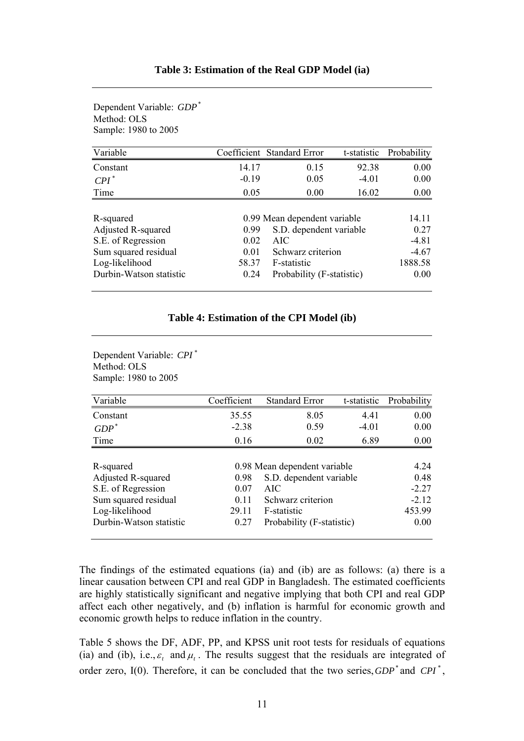| Method: OLS<br>Sample: 1980 to 2005 |         |                              |             |             |
|-------------------------------------|---------|------------------------------|-------------|-------------|
| Variable                            |         | Coefficient Standard Error   | t-statistic | Probability |
| Constant                            | 14.17   | 0.15                         | 92.38       | 0.00        |
| $\mathbb{C}PI^*$                    | $-0.19$ | 0.05                         | $-4.01$     | 0.00        |
| Time                                | 0.05    | 0.00                         | 16.02       | 0.00        |
|                                     |         |                              |             |             |
| R-squared                           |         | 0.99 Mean dependent variable |             | 14.11       |
| <b>Adjusted R-squared</b>           | 0.99    | S.D. dependent variable      |             | 0.27        |
| S.E. of Regression                  | 0.02    | AIC                          |             | $-4.81$     |
| Sum squared residual                | 0.01    | Schwarz criterion            |             | $-4.67$     |
| Log-likelihood                      | 58.37   | F-statistic                  |             | 1888.58     |
| Durbin-Watson statistic             | 0.24    | Probability (F-statistic)    |             | 0.00        |

Dependent Variable:  $GDP^*$ 

#### **Table 4: Estimation of the CPI Model (ib)**

Dependent Variable: CPI<sup>\*</sup> Method: OLS Sample: 1980 to 2005

| Variable                | Coefficient                  | <b>Standard Error</b>     | t-statistic | Probability |
|-------------------------|------------------------------|---------------------------|-------------|-------------|
| Constant                | 35.55                        | 8.05                      | 4.41        | 0.00        |
| $GDP^*$                 | $-2.38$                      | 0.59                      | $-4.01$     | 0.00        |
| Time                    | 0.16                         | 0.02                      | 6.89        | 0.00        |
|                         |                              |                           |             |             |
| R-squared               | 0.98 Mean dependent variable | 4.24                      |             |             |
| Adjusted R-squared      | 0.98                         | S.D. dependent variable   |             | 0.48        |
| S.E. of Regression      | 0.07                         | AIC                       |             | $-2.27$     |
| Sum squared residual    | 0.11                         | Schwarz criterion         |             | $-2.12$     |
| Log-likelihood          | 29.11                        | F-statistic               |             | 453.99      |
| Durbin-Watson statistic | 0.27                         | Probability (F-statistic) | 0.00        |             |

The findings of the estimated equations (ia) and (ib) are as follows: (a) there is a linear causation between CPI and real GDP in Bangladesh. The estimated coefficients are highly statistically significant and negative implying that both CPI and real GDP affect each other negatively, and (b) inflation is harmful for economic growth and economic growth helps to reduce inflation in the country.

Table 5 shows the DF, ADF, PP, and KPSS unit root tests for residuals of equations (ia) and (ib), i.e.,  $\varepsilon$ , and  $\mu$ . The results suggest that the residuals are integrated of order zero,  $I(0)$ . Therefore, it can be concluded that the two series,  $GDP^*$  and  $CPI^*$ ,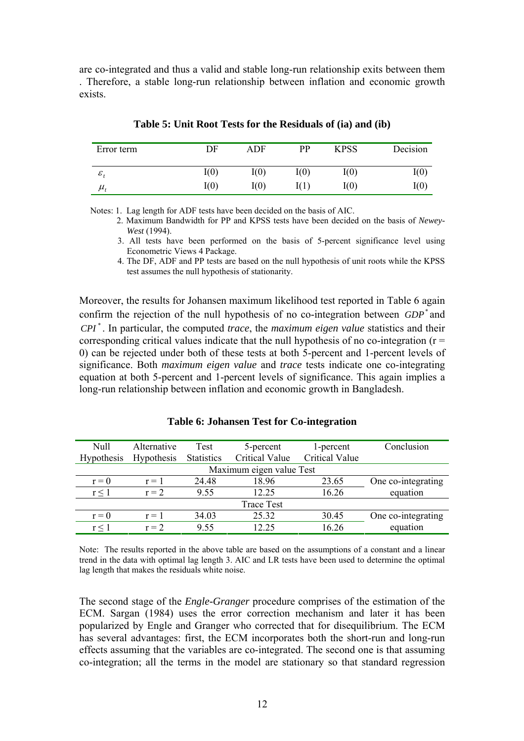are co-integrated and thus a valid and stable long-run relationship exits between them . Therefore, a stable long-run relationship between inflation and economic growth exists.

| Error term   | DF   | ADF  | PP   | <b>KPSS</b> | Decision |
|--------------|------|------|------|-------------|----------|
| ${\cal E}$ , | I(0) | I(0) | I(0) | I(0)        | I(0)     |
| $\mu$ .      | I(0) | I(0) |      | I(0)        | I(0)     |

**Table 5: Unit Root Tests for the Residuals of (ia) and (ib)** 

Notes: 1. Lag length for ADF tests have been decided on the basis of AIC.

 2. Maximum Bandwidth for PP and KPSS tests have been decided on the basis of *Newey-West* (1994).

 3. All tests have been performed on the basis of 5-percent significance level using Econometric Views 4 Package.

 4. The DF, ADF and PP tests are based on the null hypothesis of unit roots while the KPSS test assumes the null hypothesis of stationarity.

Moreover, the results for Johansen maximum likelihood test reported in Table 6 again confirm the rejection of the null hypothesis of no co-integration between *GDP*<sup>\*</sup> and . In particular, the computed *trace*, the *maximum eigen value* statistics and their \* *CPI* corresponding critical values indicate that the null hypothesis of no co-integration ( $r =$ 0) can be rejected under both of these tests at both 5-percent and 1-percent levels of significance. Both *maximum eigen value* and *trace* tests indicate one co-integrating equation at both 5-percent and 1-percent levels of significance. This again implies a long-run relationship between inflation and economic growth in Bangladesh.

**Table 6: Johansen Test for Co-integration** 

| Null              | Alternative       | Test              | 5-percent                | 1-percent             | Conclusion         |
|-------------------|-------------------|-------------------|--------------------------|-----------------------|--------------------|
| <b>Hypothesis</b> | <b>Hypothesis</b> | <b>Statistics</b> | <b>Critical Value</b>    | <b>Critical Value</b> |                    |
|                   |                   |                   | Maximum eigen value Test |                       |                    |
| $r = 0$           | $r = 1$           | 24.48             | 18.96                    | 23.65                 | One co-integrating |
| $r \leq 1$        | $r = 2$           | 9.55              | 12.25                    | 16.26                 | equation           |
|                   |                   |                   | Trace Test               |                       |                    |
| $r = 0$           | $r = 1$           | 34.03             | 25.32                    | 30.45                 | One co-integrating |
| $r \leq 1$        | $r = 2$           | 9.55              | 12.25                    | 16.26                 | equation           |

Note: The results reported in the above table are based on the assumptions of a constant and a linear trend in the data with optimal lag length 3. AIC and LR tests have been used to determine the optimal lag length that makes the residuals white noise.

The second stage of the *Engle-Granger* procedure comprises of the estimation of the ECM. Sargan (1984) uses the error correction mechanism and later it has been popularized by Engle and Granger who corrected that for disequilibrium. The ECM has several advantages: first, the ECM incorporates both the short-run and long-run effects assuming that the variables are co-integrated. The second one is that assuming co-integration; all the terms in the model are stationary so that standard regression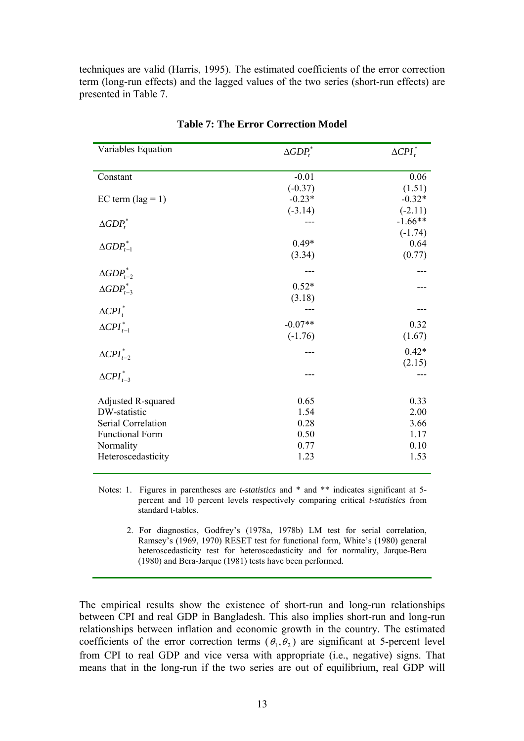techniques are valid (Harris, 1995). The estimated coefficients of the error correction term (long-run effects) and the lagged values of the two series (short-run effects) are presented in Table 7.

| Variables Equation           | $\triangle GDP_t^*$ | $\Delta {\cal CPI}_t^*$ |
|------------------------------|---------------------|-------------------------|
| Constant                     | $-0.01$             | 0.06                    |
|                              | $(-0.37)$           | (1.51)                  |
| EC term $(\text{lag} = 1)$   | $-0.23*$            | $-0.32*$                |
|                              | $(-3.14)$           | $(-2.11)$               |
|                              |                     | $-1.66**$               |
| $\triangle GDP_t^*$          |                     | $(-1.74)$               |
|                              | $0.49*$             | 0.64                    |
| $\triangle GDP_{t-1}^*$      | (3.34)              | (0.77)                  |
|                              |                     |                         |
| $\triangle GDP_{t-2}^*$      |                     |                         |
| $\triangle GDP_{t-3}^*$      | $0.52*$             |                         |
|                              | (3.18)              |                         |
| $\triangle$ CPI <sup>*</sup> |                     |                         |
| $\Delta CPI_{t-1}^*$         | $-0.07**$           | 0.32                    |
|                              | $(-1.76)$           | (1.67)                  |
|                              |                     | $0.42*$                 |
| $\Delta CPI_{t-2}^*$         |                     | (2.15)                  |
| $\triangle$ CPI $_{t=3}^*$   |                     |                         |
|                              |                     |                         |
| Adjusted R-squared           | 0.65                | 0.33                    |
| DW-statistic                 | 1.54                | 2.00                    |
| Serial Correlation           | 0.28                | 3.66                    |
| <b>Functional Form</b>       | 0.50                | 1.17                    |
| Normality                    | 0.77                | 0.10                    |
| Heteroscedasticity           | 1.23                | 1.53                    |
|                              |                     |                         |

**Table 7: The Error Correction Model** 

Notes: 1. Figures in parentheses are *t-statistics* and \* and \*\* indicates significant at 5percent and 10 percent levels respectively comparing critical *t-statistics* from standard t-tables.

 2. For diagnostics, Godfrey's (1978a, 1978b) LM test for serial correlation, Ramsey's (1969, 1970) RESET test for functional form, White's (1980) general heteroscedasticity test for heteroscedasticity and for normality, Jarque-Bera (1980) and Bera-Jarque (1981) tests have been performed.

The empirical results show the existence of short-run and long-run relationships between CPI and real GDP in Bangladesh. This also implies short-run and long-run relationships between inflation and economic growth in the country. The estimated coefficients of the error correction terms ( $\theta_1, \theta_2$ ) are significant at 5-percent level from CPI to real GDP and vice versa with appropriate (i.e., negative) signs. That means that in the long-run if the two series are out of equilibrium, real GDP will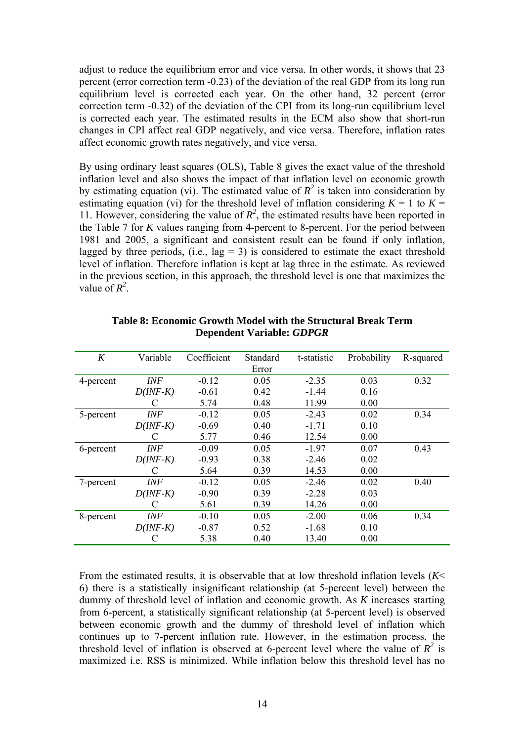adjust to reduce the equilibrium error and vice versa. In other words, it shows that 23 percent (error correction term -0.23) of the deviation of the real GDP from its long run equilibrium level is corrected each year. On the other hand, 32 percent (error correction term -0.32) of the deviation of the CPI from its long-run equilibrium level is corrected each year. The estimated results in the ECM also show that short-run changes in CPI affect real GDP negatively, and vice versa. Therefore, inflation rates affect economic growth rates negatively, and vice versa.

By using ordinary least squares (OLS), Table 8 gives the exact value of the threshold inflation level and also shows the impact of that inflation level on economic growth by estimating equation (vi). The estimated value of  $R^2$  is taken into consideration by estimating equation (vi) for the threshold level of inflation considering  $K = 1$  to  $K =$ 11. However, considering the value of  $R^2$ , the estimated results have been reported in the Table 7 for *K* values ranging from 4-percent to 8-percent. For the period between 1981 and 2005, a significant and consistent result can be found if only inflation, lagged by three periods, (i.e.,  $\log = 3$ ) is considered to estimate the exact threshold level of inflation. Therefore inflation is kept at lag three in the estimate. As reviewed in the previous section, in this approach, the threshold level is one that maximizes the value of  $R^2$ .

| K         | Variable   | Coefficient | Standard | t-statistic | Probability | R-squared |
|-----------|------------|-------------|----------|-------------|-------------|-----------|
|           |            |             | Error    |             |             |           |
| 4-percent | <b>INF</b> | $-0.12$     | 0.05     | $-2.35$     | 0.03        | 0.32      |
|           | $D(INF-K)$ | $-0.61$     | 0.42     | $-1.44$     | 0.16        |           |
|           | C          | 5.74        | 0.48     | 11.99       | 0.00        |           |
| 5-percent | INF        | $-0.12$     | 0.05     | $-2.43$     | 0.02        | 0.34      |
|           | $D(INF-K)$ | $-0.69$     | 0.40     | $-1.71$     | 0.10        |           |
|           |            | 5.77        | 0.46     | 12.54       | 0.00        |           |
| 6-percent | INF        | $-0.09$     | 0.05     | $-1.97$     | 0.07        | 0.43      |
|           | $D(INF-K)$ | $-0.93$     | 0.38     | $-2.46$     | 0.02        |           |
|           | C          | 5.64        | 0.39     | 14.53       | 0.00        |           |
| 7-percent | INF        | $-0.12$     | 0.05     | $-2.46$     | 0.02        | 0.40      |
|           | $D(INF-K)$ | $-0.90$     | 0.39     | $-2.28$     | 0.03        |           |
|           |            | 5.61        | 0.39     | 14.26       | 0.00        |           |
| 8-percent | <b>INF</b> | $-0.10$     | 0.05     | $-2.00$     | 0.06        | 0.34      |
|           | $D(INF-K)$ | $-0.87$     | 0.52     | $-1.68$     | 0.10        |           |
|           |            | 5.38        | 0.40     | 13.40       | 0.00        |           |

**Table 8: Economic Growth Model with the Structural Break Term Dependent Variable:** *GDPGR* 

From the estimated results, it is observable that at low threshold inflation levels (*K*< 6) there is a statistically insignificant relationship (at 5-percent level) between the dummy of threshold level of inflation and economic growth. As *K* increases starting from 6-percent, a statistically significant relationship (at 5-percent level) is observed between economic growth and the dummy of threshold level of inflation which continues up to 7-percent inflation rate. However, in the estimation process, the threshold level of inflation is observed at 6-percent level where the value of  $R^2$  is maximized i.e. RSS is minimized. While inflation below this threshold level has no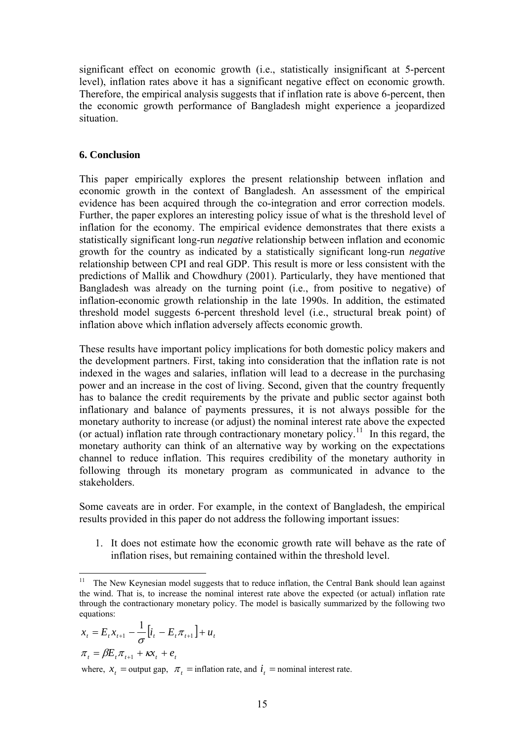significant effect on economic growth (i.e., statistically insignificant at 5-percent level), inflation rates above it has a significant negative effect on economic growth. Therefore, the empirical analysis suggests that if inflation rate is above 6-percent, then the economic growth performance of Bangladesh might experience a jeopardized situation.

### **6. Conclusion**

This paper empirically explores the present relationship between inflation and economic growth in the context of Bangladesh. An assessment of the empirical evidence has been acquired through the co-integration and error correction models. Further, the paper explores an interesting policy issue of what is the threshold level of inflation for the economy. The empirical evidence demonstrates that there exists a statistically significant long-run *negative* relationship between inflation and economic growth for the country as indicated by a statistically significant long-run *negative*  relationship between CPI and real GDP. This result is more or less consistent with the predictions of Mallik and Chowdhury (2001). Particularly, they have mentioned that Bangladesh was already on the turning point (i.e., from positive to negative) of inflation-economic growth relationship in the late 1990s. In addition, the estimated threshold model suggests 6-percent threshold level (i.e., structural break point) of inflation above which inflation adversely affects economic growth.

These results have important policy implications for both domestic policy makers and the development partners. First, taking into consideration that the inflation rate is not indexed in the wages and salaries, inflation will lead to a decrease in the purchasing power and an increase in the cost of living. Second, given that the country frequently has to balance the credit requirements by the private and public sector against both inflationary and balance of payments pressures, it is not always possible for the monetary authority to increase (or adjust) the nominal interest rate above the expected (or actual) inflation rate through contractionary monetary policy.<sup>[11](#page-17-0)</sup> In this regard, the monetary authority can think of an alternative way by working on the expectations channel to reduce inflation. This requires credibility of the monetary authority in following through its monetary program as communicated in advance to the stakeholders.

Some caveats are in order. For example, in the context of Bangladesh, the empirical results provided in this paper do not address the following important issues:

1. It does not estimate how the economic growth rate will behave as the rate of inflation rises, but remaining contained within the threshold level.

$$
x_{t} = E_{t}x_{t+1} - \frac{1}{\sigma} \left[i_{t} - E_{t}\pi_{t+1}\right] + u_{t}
$$

$$
\pi_{t} = \beta E_{t}\pi_{t+1} + \kappa x_{t} + e_{t}
$$

where,  $x_t$  = output gap,  $\pi$ , = inflation rate, and  $i_t$  = nominal interest rate.

<span id="page-17-0"></span> $\overline{a}$  $11$  The New Keynesian model suggests that to reduce inflation, the Central Bank should lean against the wind. That is, to increase the nominal interest rate above the expected (or actual) inflation rate through the contractionary monetary policy. The model is basically summarized by the following two equations: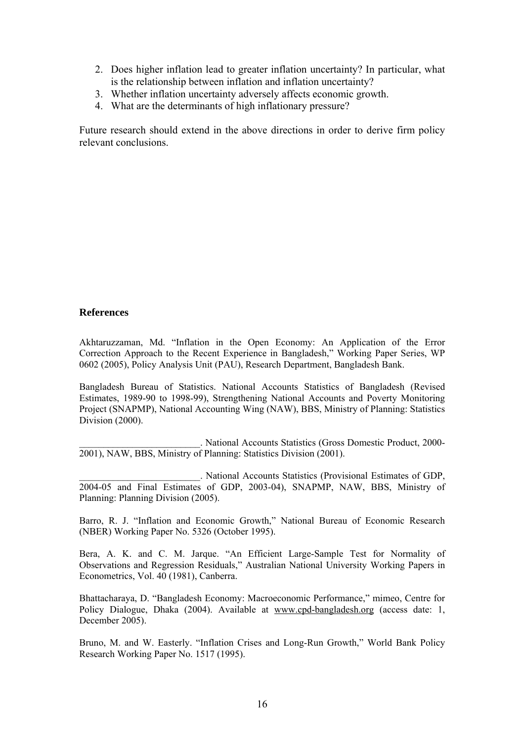- 2. Does higher inflation lead to greater inflation uncertainty? In particular, what is the relationship between inflation and inflation uncertainty?
- 3. Whether inflation uncertainty adversely affects economic growth.
- 4. What are the determinants of high inflationary pressure?

Future research should extend in the above directions in order to derive firm policy relevant conclusions.

#### **References**

Akhtaruzzaman, Md. "Inflation in the Open Economy: An Application of the Error Correction Approach to the Recent Experience in Bangladesh," Working Paper Series, WP 0602 (2005), Policy Analysis Unit (PAU), Research Department, Bangladesh Bank.

Bangladesh Bureau of Statistics. National Accounts Statistics of Bangladesh (Revised Estimates, 1989-90 to 1998-99), Strengthening National Accounts and Poverty Monitoring Project (SNAPMP), National Accounting Wing (NAW), BBS, Ministry of Planning: Statistics Division (2000).

\_\_\_\_\_\_\_\_\_\_\_\_\_\_\_\_\_\_\_\_\_\_\_\_\_. National Accounts Statistics (Gross Domestic Product, 2000- 2001), NAW, BBS, Ministry of Planning: Statistics Division (2001).

\_\_\_\_\_\_\_\_\_\_\_\_\_\_\_\_\_\_\_\_\_\_\_\_\_. National Accounts Statistics (Provisional Estimates of GDP, 2004-05 and Final Estimates of GDP, 2003-04), SNAPMP, NAW, BBS, Ministry of Planning: Planning Division (2005).

Barro, R. J. "Inflation and Economic Growth," National Bureau of Economic Research (NBER) Working Paper No. 5326 (October 1995).

Bera, A. K. and C. M. Jarque. "An Efficient Large-Sample Test for Normality of Observations and Regression Residuals," Australian National University Working Papers in Econometrics, Vol. 40 (1981), Canberra.

Bhattacharaya, D. "Bangladesh Economy: Macroeconomic Performance," mimeo, Centre for Policy Dialogue, Dhaka (2004). Available at [www.cpd-bangladesh.org](http://www.cpd-bangladesh.org/) (access date: 1, December 2005).

Bruno, M. and W. Easterly. "Inflation Crises and Long-Run Growth," World Bank Policy Research Working Paper No. 1517 (1995).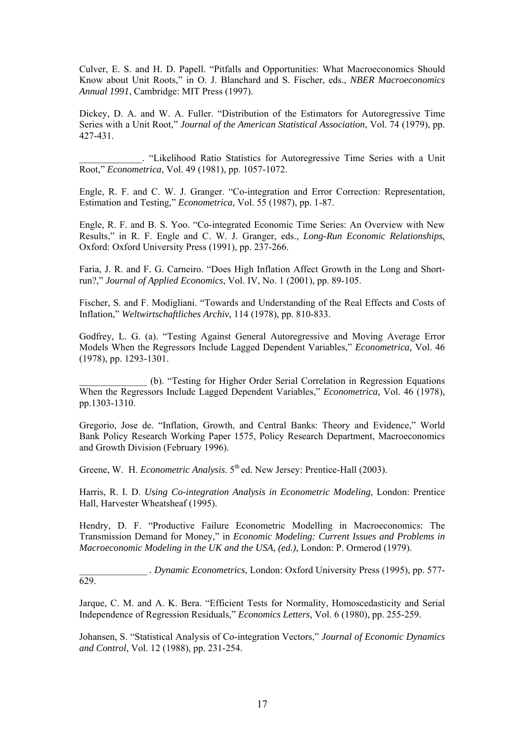Culver, E. S. and H. D. Papell. "Pitfalls and Opportunities: What Macroeconomics Should Know about Unit Roots," in O. J. Blanchard and S. Fischer, eds., *NBER Macroeconomics Annual 1991*, Cambridge: MIT Press (1997).

Dickey, D. A. and W. A. Fuller. "Distribution of the Estimators for Autoregressive Time Series with a Unit Root," *Journal of the American Statistical Association*, Vol. 74 (1979), pp. 427-431.

\_\_\_\_\_\_\_\_\_\_\_\_\_. "Likelihood Ratio Statistics for Autoregressive Time Series with a Unit Root," *Econometrica*, Vol. 49 (1981), pp. 1057-1072.

Engle, R. F. and C. W. J. Granger. "Co-integration and Error Correction: Representation, Estimation and Testing," *Econometrica*, Vol. 55 (1987), pp. 1-87.

Engle, R. F. and B. S. Yoo. "Co-integrated Economic Time Series: An Overview with New Results," in R. F. Engle and C. W. J. Granger, eds., *Long-Run Economic Relationships*, Oxford: Oxford University Press (1991), pp. 237-266.

Faria, J. R. and F. G. Carneiro. "Does High Inflation Affect Growth in the Long and Shortrun?," *Journal of Applied Economics*, Vol. IV, No. 1 (2001), pp. 89-105.

Fischer, S. and F. Modigliani. "Towards and Understanding of the Real Effects and Costs of Inflation," *Weltwirtschaftliches Archiv*, 114 (1978), pp. 810-833.

Godfrey, L. G. (a). "Testing Against General Autoregressive and Moving Average Error Models When the Regressors Include Lagged Dependent Variables," *Econometrica,* Vol. 46 (1978), pp. 1293-1301.

\_\_\_\_\_\_\_\_\_\_\_\_\_\_ (b). "Testing for Higher Order Serial Correlation in Regression Equations When the Regressors Include Lagged Dependent Variables," *Econometrica,* Vol. 46 (1978), pp.1303-1310.

Gregorio, Jose de. "Inflation, Growth, and Central Banks: Theory and Evidence," World Bank Policy Research Working Paper 1575, Policy Research Department, Macroeconomics and Growth Division (February 1996).

Greene, W. H. *Econometric Analysis*. 5<sup>th</sup> ed. New Jersey: Prentice-Hall (2003).

629.

Harris, R. I. D. *Using Co-integration Analysis in Econometric Modeling*, London: Prentice Hall, Harvester Wheatsheaf (1995).

Hendry, D. F. "Productive Failure Econometric Modelling in Macroeconomics: The Transmission Demand for Money," in *Economic Modeling: Current Issues and Problems in Macroeconomic Modeling in the UK and the USA, (ed.),* London: P. Ormerod (1979).

\_\_\_\_\_\_\_\_\_\_\_\_\_\_ *. Dynamic Econometrics*, London: Oxford University Press (1995), pp. 577-

Jarque, C. M. and A. K. Bera. "Efficient Tests for Normality, Homoscedasticity and Serial Independence of Regression Residuals," *Economics Letters,* Vol. 6 (1980), pp. 255-259.

Johansen, S. "Statistical Analysis of Co-integration Vectors," *Journal of Economic Dynamics and Control*, Vol. 12 (1988), pp. 231-254.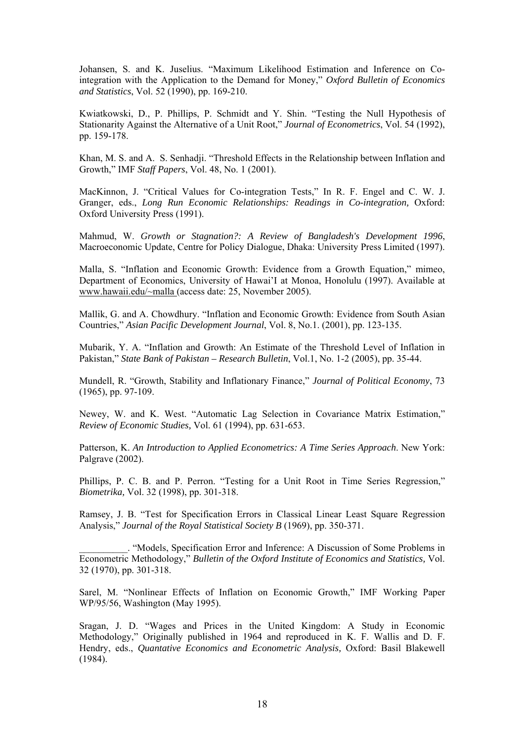Johansen, S. and K. Juselius. "Maximum Likelihood Estimation and Inference on Cointegration with the Application to the Demand for Money," *Oxford Bulletin of Economics and Statistics*, Vol. 52 (1990), pp. 169-210.

Kwiatkowski, D., P. Phillips, P. Schmidt and Y. Shin. "Testing the Null Hypothesis of Stationarity Against the Alternative of a Unit Root," *Journal of Econometrics*, Vol. 54 (1992), pp. 159-178.

Khan, M. S. and A. S. Senhadji. "Threshold Effects in the Relationship between Inflation and Growth," IMF *Staff Papers*, Vol. 48, No. 1 (2001).

MacKinnon, J. "Critical Values for Co-integration Tests," In R. F. Engel and C. W. J. Granger, eds., *Long Run Economic Relationships: Readings in Co-integration,* Oxford: Oxford University Press (1991).

Mahmud, W. *Growth or Stagnation?: A Review of Bangladesh's Development 1996*, Macroeconomic Update, Centre for Policy Dialogue, Dhaka: University Press Limited (1997).

Malla, S. "Inflation and Economic Growth: Evidence from a Growth Equation," mimeo, Department of Economics, University of Hawai'I at Monoa, Honolulu (1997). Available at www.hawaii.edu/~malla (access date: 25, November 2005).

Mallik, G. and A. Chowdhury. "Inflation and Economic Growth: Evidence from South Asian Countries," *Asian Pacific Development Journal*, Vol. 8, No.1. (2001), pp. 123-135.

Mubarik, Y. A. "Inflation and Growth: An Estimate of the Threshold Level of Inflation in Pakistan," *State Bank of Pakistan – Research Bulletin*, Vol.1, No. 1-2 (2005), pp. 35-44.

Mundell, R. "Growth, Stability and Inflationary Finance," *Journal of Political Economy*, 73 (1965), pp. 97-109.

Newey, W. and K. West. "Automatic Lag Selection in Covariance Matrix Estimation," *Review of Economic Studies,* Vol. 61 (1994), pp. 631-653.

Patterson, K. *An Introduction to Applied Econometrics: A Time Series Approach*. New York: Palgrave (2002).

Phillips, P. C. B. and P. Perron. "Testing for a Unit Root in Time Series Regression," *Biometrika,* Vol. 32 (1998), pp. 301-318.

Ramsey, J. B. "Test for Specification Errors in Classical Linear Least Square Regression Analysis," *Journal of the Royal Statistical Society B* (1969), pp. 350-371.

\_\_\_\_\_\_\_\_\_\_. "Models, Specification Error and Inference: A Discussion of Some Problems in Econometric Methodology," *Bulletin of the Oxford Institute of Economics and Statistics,* Vol. 32 (1970), pp. 301-318.

Sarel, M. "Nonlinear Effects of Inflation on Economic Growth," IMF Working Paper WP/95/56, Washington (May 1995).

Sragan, J. D. "Wages and Prices in the United Kingdom: A Study in Economic Methodology," Originally published in 1964 and reproduced in K. F. Wallis and D. F. Hendry, eds., *Quantative Economics and Econometric Analysis,* Oxford: Basil Blakewell (1984).